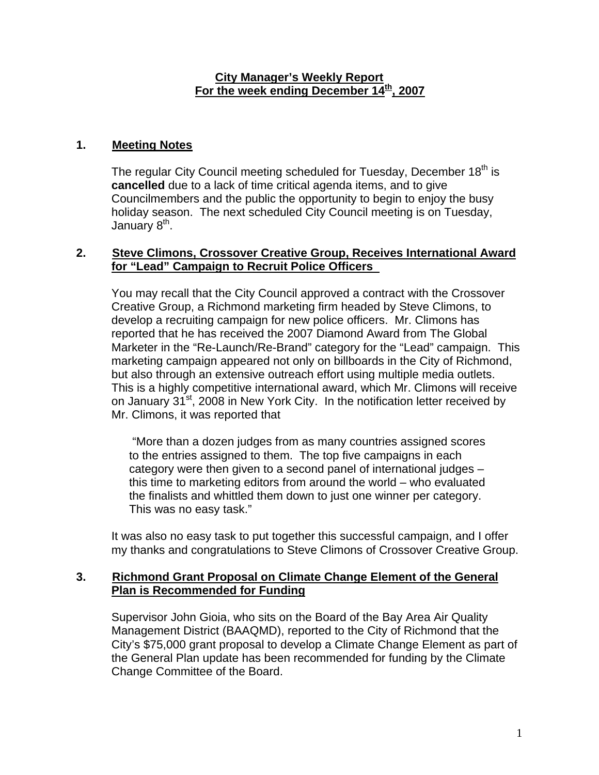#### **City Manager's Weekly Report** For the week ending December 14<sup>th</sup>, 2007

# **1. Meeting Notes**

The regular City Council meeting scheduled for Tuesday, December 18<sup>th</sup> is **cancelled** due to a lack of time critical agenda items, and to give Councilmembers and the public the opportunity to begin to enjoy the busy holiday season. The next scheduled City Council meeting is on Tuesday, January 8<sup>th</sup>.

### **2. Steve Climons, Crossover Creative Group, Receives International Award for "Lead" Campaign to Recruit Police Officers**

You may recall that the City Council approved a contract with the Crossover Creative Group, a Richmond marketing firm headed by Steve Climons, to develop a recruiting campaign for new police officers. Mr. Climons has reported that he has received the 2007 Diamond Award from The Global Marketer in the "Re-Launch/Re-Brand" category for the "Lead" campaign. This marketing campaign appeared not only on billboards in the City of Richmond, but also through an extensive outreach effort using multiple media outlets. This is a highly competitive international award, which Mr. Climons will receive on January 31<sup>st</sup>, 2008 in New York City. In the notification letter received by Mr. Climons, it was reported that

 "More than a dozen judges from as many countries assigned scores to the entries assigned to them. The top five campaigns in each category were then given to a second panel of international judges – this time to marketing editors from around the world – who evaluated the finalists and whittled them down to just one winner per category. This was no easy task."

It was also no easy task to put together this successful campaign, and I offer my thanks and congratulations to Steve Climons of Crossover Creative Group.

#### **3. Richmond Grant Proposal on Climate Change Element of the General Plan is Recommended for Funding**

Supervisor John Gioia, who sits on the Board of the Bay Area Air Quality Management District (BAAQMD), reported to the City of Richmond that the City's \$75,000 grant proposal to develop a Climate Change Element as part of the General Plan update has been recommended for funding by the Climate Change Committee of the Board.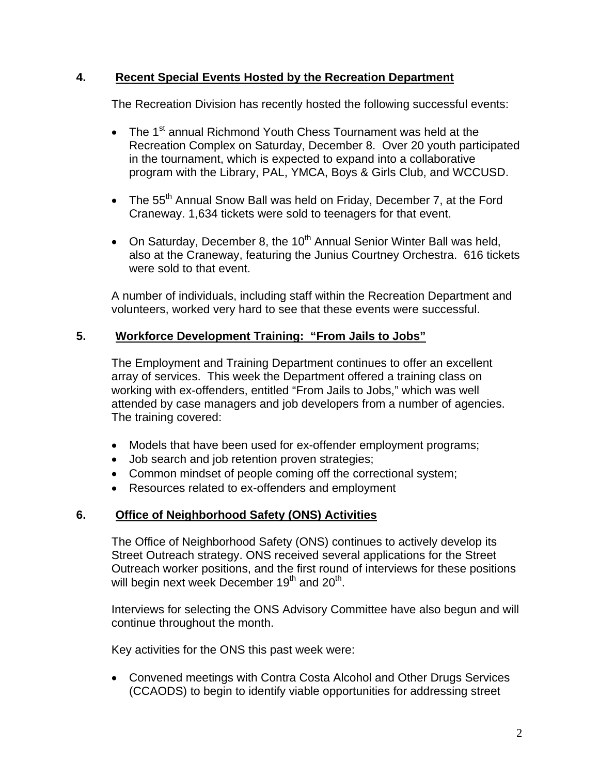### **4. Recent Special Events Hosted by the Recreation Department**

The Recreation Division has recently hosted the following successful events:

- The 1<sup>st</sup> annual Richmond Youth Chess Tournament was held at the Recreation Complex on Saturday, December 8. Over 20 youth participated in the tournament, which is expected to expand into a collaborative program with the Library, PAL, YMCA, Boys & Girls Club, and WCCUSD.
- The 55<sup>th</sup> Annual Snow Ball was held on Friday, December 7, at the Ford Craneway. 1,634 tickets were sold to teenagers for that event.
- On Saturday, December 8, the  $10^{th}$  Annual Senior Winter Ball was held, also at the Craneway, featuring the Junius Courtney Orchestra. 616 tickets were sold to that event.

A number of individuals, including staff within the Recreation Department and volunteers, worked very hard to see that these events were successful.

### **5. Workforce Development Training: "From Jails to Jobs"**

The Employment and Training Department continues to offer an excellent array of services. This week the Department offered a training class on working with ex-offenders, entitled "From Jails to Jobs," which was well attended by case managers and job developers from a number of agencies. The training covered:

- Models that have been used for ex-offender employment programs;
- Job search and job retention proven strategies;
- Common mindset of people coming off the correctional system;
- Resources related to ex-offenders and employment

# **6. Office of Neighborhood Safety (ONS) Activities**

The Office of Neighborhood Safety (ONS) continues to actively develop its Street Outreach strategy. ONS received several applications for the Street Outreach worker positions, and the first round of interviews for these positions will begin next week December 19<sup>th</sup> and 20<sup>th</sup>.

Interviews for selecting the ONS Advisory Committee have also begun and will continue throughout the month.

Key activities for the ONS this past week were:

• Convened meetings with Contra Costa Alcohol and Other Drugs Services (CCAODS) to begin to identify viable opportunities for addressing street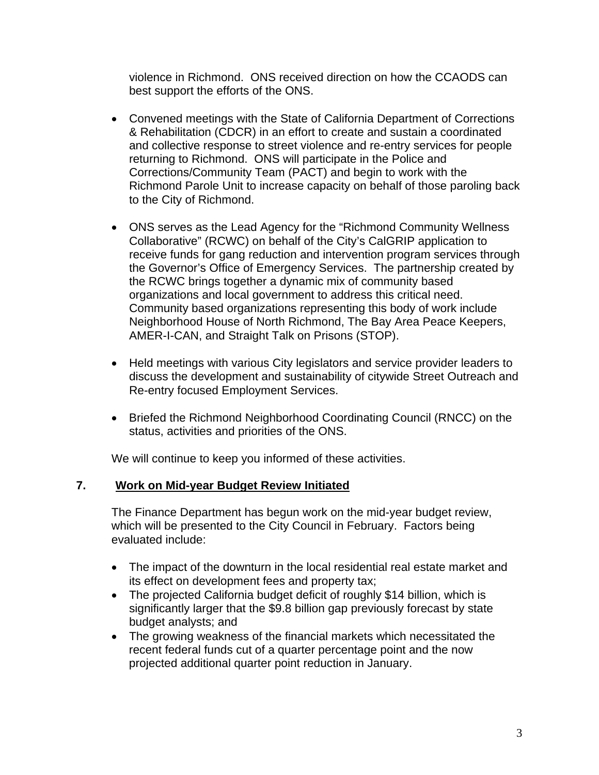violence in Richmond. ONS received direction on how the CCAODS can best support the efforts of the ONS.

- Convened meetings with the State of California Department of Corrections & Rehabilitation (CDCR) in an effort to create and sustain a coordinated and collective response to street violence and re-entry services for people returning to Richmond. ONS will participate in the Police and Corrections/Community Team (PACT) and begin to work with the Richmond Parole Unit to increase capacity on behalf of those paroling back to the City of Richmond.
- ONS serves as the Lead Agency for the "Richmond Community Wellness Collaborative" (RCWC) on behalf of the City's CalGRIP application to receive funds for gang reduction and intervention program services through the Governor's Office of Emergency Services. The partnership created by the RCWC brings together a dynamic mix of community based organizations and local government to address this critical need. Community based organizations representing this body of work include Neighborhood House of North Richmond, The Bay Area Peace Keepers, AMER-I-CAN, and Straight Talk on Prisons (STOP).
- Held meetings with various City legislators and service provider leaders to discuss the development and sustainability of citywide Street Outreach and Re-entry focused Employment Services.
- Briefed the Richmond Neighborhood Coordinating Council (RNCC) on the status, activities and priorities of the ONS.

We will continue to keep you informed of these activities.

# **7. Work on Mid-year Budget Review Initiated**

The Finance Department has begun work on the mid-year budget review, which will be presented to the City Council in February. Factors being evaluated include:

- The impact of the downturn in the local residential real estate market and its effect on development fees and property tax;
- The projected California budget deficit of roughly \$14 billion, which is significantly larger that the \$9.8 billion gap previously forecast by state budget analysts; and
- The growing weakness of the financial markets which necessitated the recent federal funds cut of a quarter percentage point and the now projected additional quarter point reduction in January.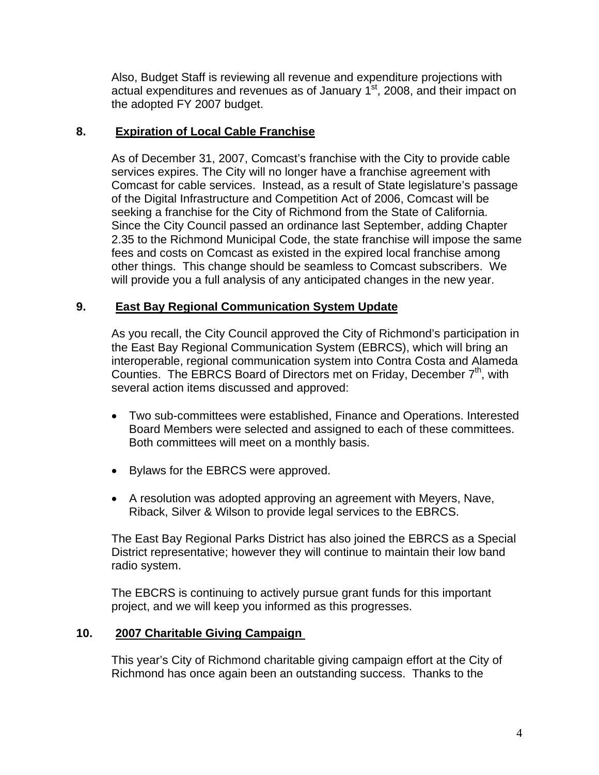Also, Budget Staff is reviewing all revenue and expenditure projections with actual expenditures and revenues as of January  $1<sup>st</sup>$ , 2008, and their impact on the adopted FY 2007 budget.

### **8. Expiration of Local Cable Franchise**

As of December 31, 2007, Comcast's franchise with the City to provide cable services expires. The City will no longer have a franchise agreement with Comcast for cable services. Instead, as a result of State legislature's passage of the Digital Infrastructure and Competition Act of 2006, Comcast will be seeking a franchise for the City of Richmond from the State of California. Since the City Council passed an ordinance last September, adding Chapter 2.35 to the Richmond Municipal Code, the state franchise will impose the same fees and costs on Comcast as existed in the expired local franchise among other things. This change should be seamless to Comcast subscribers. We will provide you a full analysis of any anticipated changes in the new year.

### **9. East Bay Regional Communication System Update**

As you recall, the City Council approved the City of Richmond's participation in the East Bay Regional Communication System (EBRCS), which will bring an interoperable, regional communication system into Contra Costa and Alameda Counties. The EBRCS Board of Directors met on Friday, December  $7<sup>th</sup>$ , with several action items discussed and approved:

- Two sub-committees were established, Finance and Operations. Interested Board Members were selected and assigned to each of these committees. Both committees will meet on a monthly basis.
- Bylaws for the EBRCS were approved.
- A resolution was adopted approving an agreement with Meyers, Nave, Riback, Silver & Wilson to provide legal services to the EBRCS.

The East Bay Regional Parks District has also joined the EBRCS as a Special District representative; however they will continue to maintain their low band radio system.

The EBCRS is continuing to actively pursue grant funds for this important project, and we will keep you informed as this progresses.

# **10. 2007 Charitable Giving Campaign**

This year's City of Richmond charitable giving campaign effort at the City of Richmond has once again been an outstanding success. Thanks to the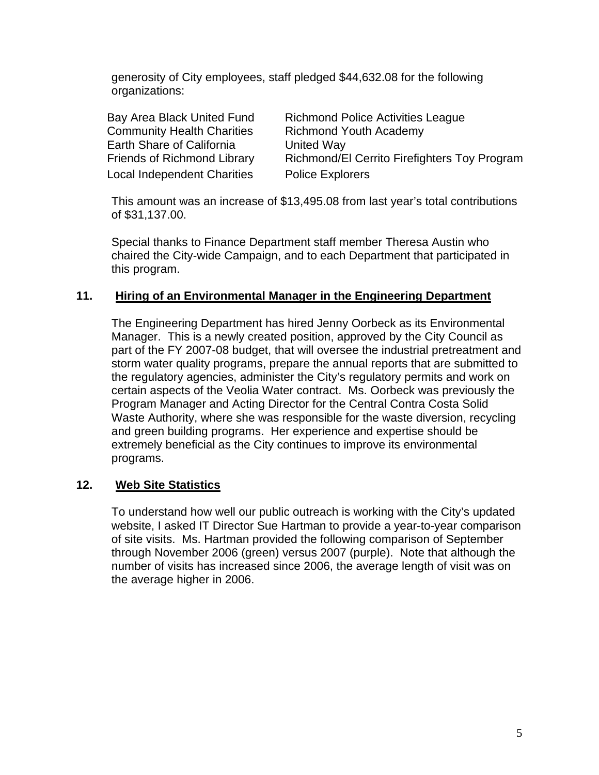generosity of City employees, staff pledged \$44,632.08 for the following organizations:

| Bay Area Black United Fund         | <b>Richmond Police Activities League</b>            |
|------------------------------------|-----------------------------------------------------|
| <b>Community Health Charities</b>  | <b>Richmond Youth Academy</b>                       |
| Earth Share of California          | United Way                                          |
| <b>Friends of Richmond Library</b> | <b>Richmond/El Cerrito Firefighters Toy Program</b> |
| <b>Local Independent Charities</b> | <b>Police Explorers</b>                             |

This amount was an increase of \$13,495.08 from last year's total contributions of \$31,137.00.

Special thanks to Finance Department staff member Theresa Austin who chaired the City-wide Campaign, and to each Department that participated in this program.

#### **11. Hiring of an Environmental Manager in the Engineering Department**

The Engineering Department has hired Jenny Oorbeck as its Environmental Manager. This is a newly created position, approved by the City Council as part of the FY 2007-08 budget, that will oversee the industrial pretreatment and storm water quality programs, prepare the annual reports that are submitted to the regulatory agencies, administer the City's regulatory permits and work on certain aspects of the Veolia Water contract. Ms. Oorbeck was previously the Program Manager and Acting Director for the Central Contra Costa Solid Waste Authority, where she was responsible for the waste diversion, recycling and green building programs. Her experience and expertise should be extremely beneficial as the City continues to improve its environmental programs.

#### **12. Web Site Statistics**

To understand how well our public outreach is working with the City's updated website, I asked IT Director Sue Hartman to provide a year-to-year comparison of site visits. Ms. Hartman provided the following comparison of September through November 2006 (green) versus 2007 (purple). Note that although the number of visits has increased since 2006, the average length of visit was on the average higher in 2006.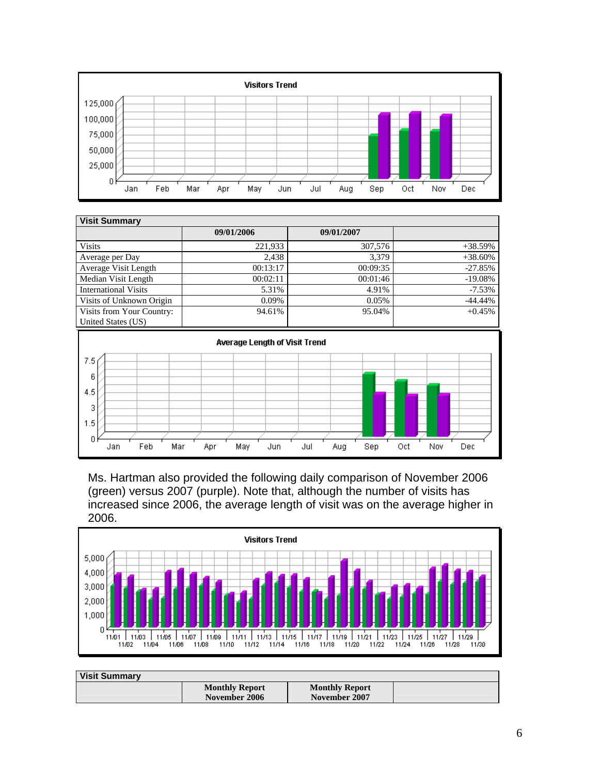

| <b>Visit Summary</b>                            |            |            |            |  |  |
|-------------------------------------------------|------------|------------|------------|--|--|
|                                                 | 09/01/2006 | 09/01/2007 |            |  |  |
| <b>Visits</b>                                   | 221,933    | 307,576    | $+38.59%$  |  |  |
| Average per Day                                 | 2.438      | 3.379      | $+38.60\%$ |  |  |
| Average Visit Length                            | 00:13:17   | 00:09:35   | $-27.85%$  |  |  |
| Median Visit Length                             | 00:02:11   | 00:01:46   | $-19.08%$  |  |  |
| <b>International Visits</b>                     | 5.31%      | 4.91%      | $-7.53\%$  |  |  |
| Visits of Unknown Origin                        | 0.09%      | 0.05%      | $-44.44%$  |  |  |
| Visits from Your Country:<br>United States (US) | 94.61%     | 95.04%     | $+0.45%$   |  |  |



Ms. Hartman also provided the following daily comparison of November 2006 (green) versus 2007 (purple). Note that, although the number of visits has increased since 2006, the average length of visit was on the average higher in 2006.



| <b>Visit Summary</b> |                       |                       |  |
|----------------------|-----------------------|-----------------------|--|
|                      | <b>Monthly Report</b> | <b>Monthly Report</b> |  |
|                      | November 2006         | November 2007         |  |